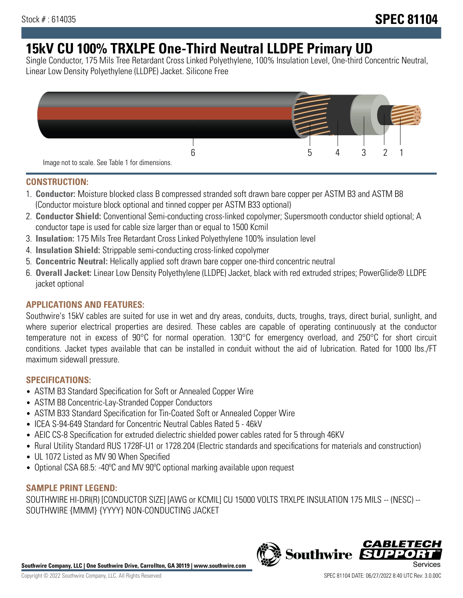# **15kV CU 100% TRXLPE One-Third Neutral LLDPE Primary UD**

Single Conductor, 175 Mils Tree Retardant Cross Linked Polyethylene, 100% Insulation Level, One-third Concentric Neutral, Linear Low Density Polyethylene (LLDPE) Jacket. Silicone Free



### **CONSTRUCTION:**

- 1. **Conductor:** Moisture blocked class B compressed stranded soft drawn bare copper per ASTM B3 and ASTM B8 (Conductor moisture block optional and tinned copper per ASTM B33 optional)
- 2. **Conductor Shield:** Conventional Semi-conducting cross-linked copolymer; Supersmooth conductor shield optional; A conductor tape is used for cable size larger than or equal to 1500 Kcmil
- 3. **Insulation:** 175 Mils Tree Retardant Cross Linked Polyethylene 100% insulation level
- 4. **Insulation Shield:** Strippable semi-conducting cross-linked copolymer
- 5. **Concentric Neutral:** Helically applied soft drawn bare copper one-third concentric neutral
- 6. **Overall Jacket:** Linear Low Density Polyethylene (LLDPE) Jacket, black with red extruded stripes; PowerGlide® LLDPE jacket optional

### **APPLICATIONS AND FEATURES:**

Southwire's 15kV cables are suited for use in wet and dry areas, conduits, ducts, troughs, trays, direct burial, sunlight, and where superior electrical properties are desired. These cables are capable of operating continuously at the conductor temperature not in excess of 90°C for normal operation. 130°C for emergency overload, and 250°C for short circuit conditions. Jacket types available that can be installed in conduit without the aid of lubrication. Rated for 1000 lbs./FT maximum sidewall pressure.

### **SPECIFICATIONS:**

- ASTM B3 Standard Specification for Soft or Annealed Copper Wire
- ASTM B8 Concentric-Lay-Stranded Copper Conductors
- ASTM B33 Standard Specification for Tin-Coated Soft or Annealed Copper Wire
- ICEA S-94-649 Standard for Concentric Neutral Cables Rated 5 46kV
- AEIC CS-8 Specification for extruded dielectric shielded power cables rated for 5 through 46KV
- Rural Utility Standard RUS 1728F-U1 or 1728.204 (Electric standards and specifications for materials and construction)
- UL 1072 Listed as MV 90 When Specified
- Optional CSA 68.5: -40ºC and MV 90ºC optional marking available upon request

### **SAMPLE PRINT LEGEND:**

SOUTHWIRE HI-DRI(R) [CONDUCTOR SIZE] [AWG or KCMIL] CU 15000 VOLTS TRXLPE INSULATION 175 MILS -- (NESC) -- SOUTHWIRE {MMM} {YYYY} NON-CONDUCTING JACKET

**Southwire Company, LLC | One Southwire Drive, Carrollton, GA 30119 | www.southwire.com**

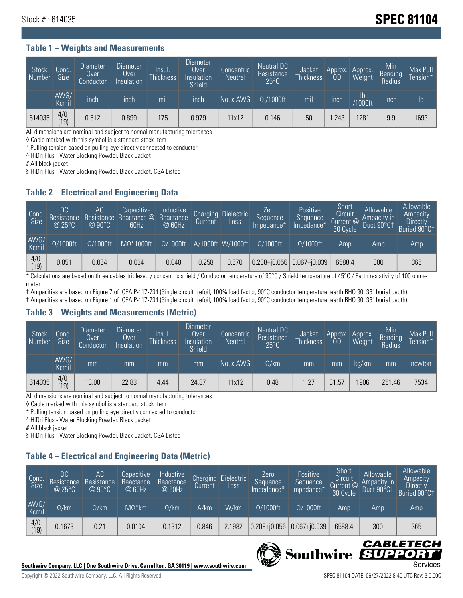## **Stock # : 614035 Stock # : 614035**

#### **Table 1 – Weights and Measurements**

| Stock<br>Number | Cond<br><b>Size</b> | <b>Diameter</b><br>Over<br>Conductor | Diameter<br><b>Over</b><br>Insulation | lnsul.<br>Thickness | <b>Diameter</b><br>Over.<br>Insulation<br><b>Shield</b> | Concentric<br><b>Neutral</b> | Neutral DC<br>Resistance<br>$25^{\circ}$ C | Jacket<br><b>Thickness</b> | Approx.<br>0D | Approx.<br>Weight | Min<br><b>Bending</b><br>Radius | Max Pull<br>Tension* |
|-----------------|---------------------|--------------------------------------|---------------------------------------|---------------------|---------------------------------------------------------|------------------------------|--------------------------------------------|----------------------------|---------------|-------------------|---------------------------------|----------------------|
|                 | AWG/<br>Kcmil       | inch                                 | inch                                  | mil                 | inch                                                    | No. x AWG                    | $\Omega$ /1000ft                           | mil                        | inch          | Ib<br>/1000ft     | inch                            | $\mathsf{lb}$        |
| 614035          | 4/0<br>(19)         | 0.512                                | 0.899                                 | 175                 | 0.979                                                   | 11x12                        | 0.146                                      | 50                         | .243          | 1281              | 9.9                             | 1693                 |

All dimensions are nominal and subject to normal manufacturing tolerances

◊ Cable marked with this symbol is a standard stock item

\* Pulling tension based on pulling eye directly connected to conductor

^ HiDri Plus - Water Blocking Powder. Black Jacket

# All black jacket

§ HiDri Plus - Water Blocking Powder. Black Jacket. CSA Listed

### **Table 2 – Electrical and Engineering Data**

| Cond<br>Size  | DC<br>Resistance<br>@25°C | <b>AC</b><br>Resistance<br>$@90^{\circ}C$ | Capacitive<br>Reactance @<br>60Hz | /Inductive<br>Reactance<br>@ 60Hz | Charging<br>Current | <b>Dielectric</b><br>Loss | Zero<br>Sequence<br>Impedance* | Positive<br>Sequence<br>Impedance <sup>+</sup> | Short,<br>Circuit<br>Current @<br>30 Cycle | Allowable<br>Ampacity in<br>Duct 90°C1 | Allowable<br>Ampacity<br><b>Directly</b><br>Buried 90°C‡ |
|---------------|---------------------------|-------------------------------------------|-----------------------------------|-----------------------------------|---------------------|---------------------------|--------------------------------|------------------------------------------------|--------------------------------------------|----------------------------------------|----------------------------------------------------------|
| AWG/<br>Kcmil | $\Omega/1000$ ft          | $\Omega/1000$ ft                          | $M\Omega^*1000ft$                 | $\Omega/1000$ ft                  |                     | A/1000ft W/1000ft         | $Q/1000$ ft                    | $\Omega$ /1000ft                               | Amp                                        | Amp                                    | Amp                                                      |
| 4/0<br>(19)   | 0.051                     | 0.064                                     | 0.034                             | 0.040                             | 0.258               | 0.670                     |                                | $0.208 + 0.056$ 0.067+0.039                    | 6588.4                                     | 300                                    | 365                                                      |

\* Calculations are based on three cables triplexed / concentric shield / Conductor temperature of 90°C / Shield temperature of 45°C / Earth resistivity of 100 ohmsmeter

† Ampacities are based on Figure 7 of ICEA P-117-734 (Single circuit trefoil, 100% load factor, 90°C conductor temperature, earth RHO 90, 36" burial depth) ‡ Ampacities are based on Figure 1 of ICEA P-117-734 (Single circuit trefoil, 100% load factor, 90°C conductor temperature, earth RHO 90, 36" burial depth)

### **Table 3 – Weights and Measurements (Metric)**

| Stock<br>Number | Cond<br>Size <sup>1</sup> | <b>Diameter</b><br>Over<br>Conductor | Diameter<br>Over<br>Insulation | Insul.<br><b>Thickness</b> | <b>Diameter</b><br>Over<br>Insulation<br><b>Shield</b> | Concentric<br><b>Neutral</b> | Neutral DC<br>Resistance<br>$25^{\circ}C$ | Jacket<br><b>Thickness</b> | Approx.<br>0D | Approx.<br>Weight | Min<br>Bending<br>Radius | Max Pull<br>Tension* |
|-----------------|---------------------------|--------------------------------------|--------------------------------|----------------------------|--------------------------------------------------------|------------------------------|-------------------------------------------|----------------------------|---------------|-------------------|--------------------------|----------------------|
|                 | AWG/<br>Kcmil             | mm                                   | mm                             | mm                         | mm                                                     | No. x AWG                    | $\Omega$ /km                              | mm                         | mm            | ka/km             | mm                       | newton               |
| 614035          | 4/0<br>(19)               | 13.00                                | 22.83                          | 4.44                       | 24.87                                                  | 11x12                        | 0.48                                      | 1.27                       | 31.57         | 906               | 251.46                   | 7534                 |

All dimensions are nominal and subject to normal manufacturing tolerances

◊ Cable marked with this symbol is a standard stock item

\* Pulling tension based on pulling eye directly connected to conductor

^ HiDri Plus - Water Blocking Powder. Black Jacket

# All black jacket

§ HiDri Plus - Water Blocking Powder. Black Jacket. CSA Listed

### **Table 4 – Electrical and Engineering Data (Metric)**

| Cond<br>Size  | DC<br>Resistance<br>@25°C | AC<br>Resistance<br>$@90^{\circ}C$ | Capacitive<br>Reactance<br>@ 60Hz | Inductive<br>Reactance<br>@ 60Hz | Charging<br>Current | <b>Dielectric</b><br>Loss | Zero<br>'Sequence,<br>Impedance* | Positive<br>Sequence<br>Impedance* | Short<br>Circuit<br>Current $@'$<br>30 Cycle | Allowable<br>Ampacity in<br>Duct 90°C1 | Allowable<br>Ampacity<br><b>Directly</b><br>Buried 90°C‡ |
|---------------|---------------------------|------------------------------------|-----------------------------------|----------------------------------|---------------------|---------------------------|----------------------------------|------------------------------------|----------------------------------------------|----------------------------------------|----------------------------------------------------------|
| AWG/<br>Kcmil | $\Omega$ /km              | $\Omega$ /km                       | $M\Omega^*$ km                    | $\Omega$ /km                     | A/km                | W/km                      | $\Omega/1000$ ft                 | $\Omega/1000$ ft                   | Amp                                          | Amp                                    | Amp                                                      |
| 4/0<br>(19)   | 0.1673                    | 0.21                               | 0.0104                            | 0.1312                           | 0.846               | 2.1982                    | $0.208 + 0.056$                  | $0.067 + 0.039$                    | 6588.4                                       | 300                                    | 365                                                      |



CABLE

UPPO

IS

**Southwire**